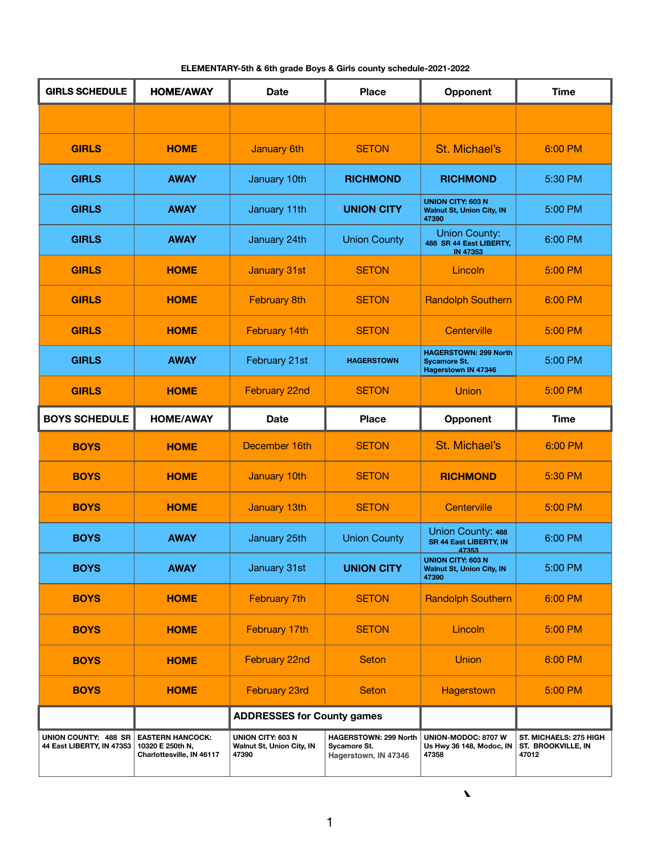**ELEMENTARY-5th & 6th grade Boys & Girls county schedule-2021-2022**

**GIRLS SCHEDULE HOME/AWAY Date Place Opponent Time GIRLS HOME January 6th** SETON St. Michael's 6:00 PM **GIRLS AWAY January 10th <b>RICHMOND RICHMOND** 5:30 PM **GIRLS AWAY** January 11th **UNION CITY UNION CITY: 603 N Walnut St, Union City, IN 47390** 5:00 PM **GIRLS AWAY** January 24th Union County Union County: **488 SR 44 East LIBERTY, IN 47353** 6:00 PM **GIRLS** | **HOME** | January 31st | SETON | Lincoln | 5:00 PM **GIRLS** | **HOME** | February 8th | SETON | Randolph Southern | 6:00 PM **GIRLS** | **HOME** | February 14th | SETON | Centerville | 5:00 PM **GIRLS AWAY February 21st <b>HAGERSTOWN HAGERSTOWN: 299 North Sycamore St. Hagerstown IN 47346**  5:00 PM **GIRLS HOME** February 22nd SETON Union 5:00 PM **BOYS SCHEDULE HOME/AWAY Date Place Opponent Time BOYS HOME** December 16th SETON St. Michael's 6:00 PM **BOYS HOME January 10th SETON <b>RICHMOND** 5:30 PM **BOYS** | **HOME** | January 13th | SETON | Centerville | 5:00 PM **BOYS AWAY** January 25th Union County Union County: 488 **SR 44 East LIBERTY, IN 47353** 6:00 PM **BOYS AWAY** January 31st **UNION CITY UNION CITY: 603 N Walnut St, Union City, IN 47390** 5:00 PM **BOYS** | **HOME** | February 7th | SETON | Randolph Southern | 6:00 PM **BOYS** | **HOME** | February 17th | SETON | Lincoln | 5:00 PM **HOME/AWAY** 

| <b>BOYS</b>                                              | <b>HOME</b>                                                              | February 22nd                                                         | <b>Seton</b>                                                                | <b>Union</b>                                             | 6:00 PM                                                      |
|----------------------------------------------------------|--------------------------------------------------------------------------|-----------------------------------------------------------------------|-----------------------------------------------------------------------------|----------------------------------------------------------|--------------------------------------------------------------|
| <b>BOYS</b>                                              | <b>HOME</b>                                                              | <b>February 23rd</b>                                                  | <b>Seton</b>                                                                | Hagerstown                                               | 5:00 PM                                                      |
|                                                          |                                                                          | <b>ADDRESSES for County games</b>                                     |                                                                             |                                                          |                                                              |
| <b>UNION COUNTY: 488 SR</b><br>44 East LIBERTY, IN 47353 | <b>EASTERN HANCOCK:</b><br>10320 E 250th N,<br>Charlottesville, IN 46117 | <b>UNION CITY: 603 N</b><br><b>Walnut St, Union City, IN</b><br>47390 | <b>HAGERSTOWN: 299 North</b><br><b>Sycamore St.</b><br>Hagerstown, IN 47346 | UNION-MODOC: 8707 W<br>Us Hwy 36 148, Modoc, IN<br>47358 | <b>ST. MICHAELS: 275 HIGH</b><br>ST. BROOKVILLE, IN<br>47012 |

1